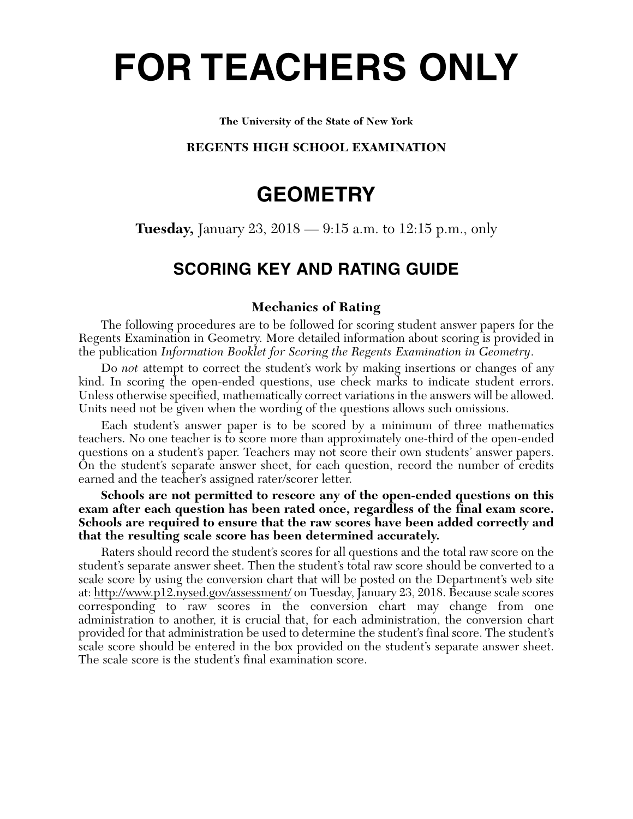# **FOR TEACHERS ONLY**

#### **The University of the State of New York**

## **REGENTS HIGH SCHOOL EXAMINATION**

## **GEOMETRY**

**Tuesday,** January 23, 2018 — 9:15 a.m. to 12:15 p.m., only

## **SCORING KEY AND RATING GUIDE**

## **Mechanics of Rating**

The following procedures are to be followed for scoring student answer papers for the Regents Examination in Geometry. More detailed information about scoring is provided in the publication *Information Booklet for Scoring the Regents Examination in Geometry*.

Do *not* attempt to correct the student's work by making insertions or changes of any kind. In scoring the open-ended questions, use check marks to indicate student errors. Unless otherwise specified, mathematically correct variations in the answers will be allowed. Units need not be given when the wording of the questions allows such omissions.

Each student's answer paper is to be scored by a minimum of three mathematics teachers. No one teacher is to score more than approximately one-third of the open-ended questions on a student's paper. Teachers may not score their own students' answer papers. On the student's separate answer sheet, for each question, record the number of credits earned and the teacher's assigned rater/scorer letter.

**Schools are not permitted to rescore any of the open-ended questions on this exam after each question has been rated once, regardless of the final exam score. Schools are required to ensure that the raw scores have been added correctly and that the resulting scale score has been determined accurately.**

Raters should record the student's scores for all questions and the total raw score on the student's separate answer sheet. Then the student's total raw score should be converted to a scale score by using the conversion chart that will be posted on the Department's web site at: http://www.p12.nysed.gov/assessment/ on Tuesday, January 23, 2018. Because scale scores corresponding to raw scores in the conversion chart may change from one administration to another, it is crucial that, for each administration, the conversion chart provided for that administration be used to determine the student's final score. The student's scale score should be entered in the box provided on the student's separate answer sheet. The scale score is the student's final examination score.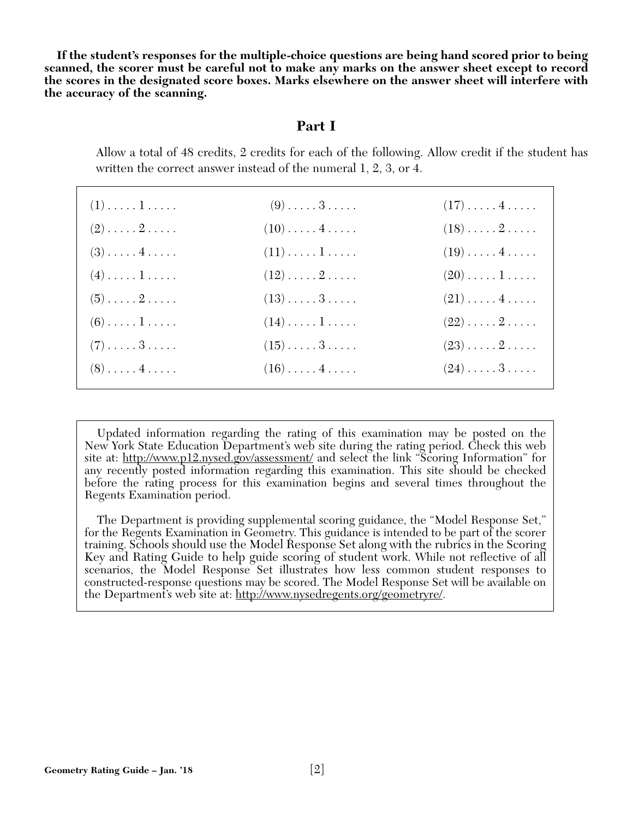**If the student's responses for the multiple-choice questions are being hand scored prior to being scanned, the scorer must be careful not to make any marks on the answer sheet except to record the scores in the designated score boxes. Marks elsewhere on the answer sheet will interfere with the accuracy of the scanning.**

## **Part I**

Allow a total of 48 credits, 2 credits for each of the following. Allow credit if the student has written the correct answer instead of the numeral 1, 2, 3, or 4.

| $(1)$ $1$                    | $(9) \ldots \ldots 3 \ldots$  | $(17)\ldots(4\ldots)$             |
|------------------------------|-------------------------------|-----------------------------------|
| $(2) \ldots \ldots 2 \ldots$ | $(10) \ldots \ldots 4 \ldots$ | $(18)\ldots 2 \ldots$             |
| $(3) \ldots \ldots 4 \ldots$ | $(11)\ldots\ldots\ldots$      | $(19)\ldots(4\ldots).$            |
| $(4) \ldots \ldots 1 \ldots$ | $(12)\ldots \ldots 2 \ldots$  | $(20)\ldots\ldots\,1\ldots\ldots$ |
| $(5) \ldots \ldots 2 \ldots$ | $(13)\ldots\ldots 3\ldots$    | $(21)\ldots(4\ldots)$             |
| $(6) \ldots \ldots 1 \ldots$ | $(14)\ldots\ldots\ldots$      | $(22)\ldots\ldots 2\ldots\ldots$  |
| $(7) \ldots \ldots 3 \ldots$ | $(15)\ldots\ldots 3\ldots$    | $(23) \ldots \ldots 2 \ldots$     |
| $(8) \ldots \ldots 4 \ldots$ | $(16)\ldots(4\ldots)$         | $(24) \ldots 3 \ldots$            |

Updated information regarding the rating of this examination may be posted on the New York State Education Department's web site during the rating period. Check this web site at: http://www.p12.nysed.gov/assessment/ and select the link "Scoring Information" for any recently posted information regarding this examination. This site should be checked before the rating process for this examination begins and several times throughout the Regents Examination period.

The Department is providing supplemental scoring guidance, the "Model Response Set," for the Regents Examination in Geometry. This guidance is intended to be part of the scorer training. Schools should use the Model Response Set along with the rubrics in the Scoring Key and Rating Guide to help guide scoring of student work. While not reflective of all scenarios, the Model Response Set illustrates how less common student responses to constructed-response questions may be scored. The Model Response Set will be available on the Department's web site at: http://www.nysedregents.org/geometryre/.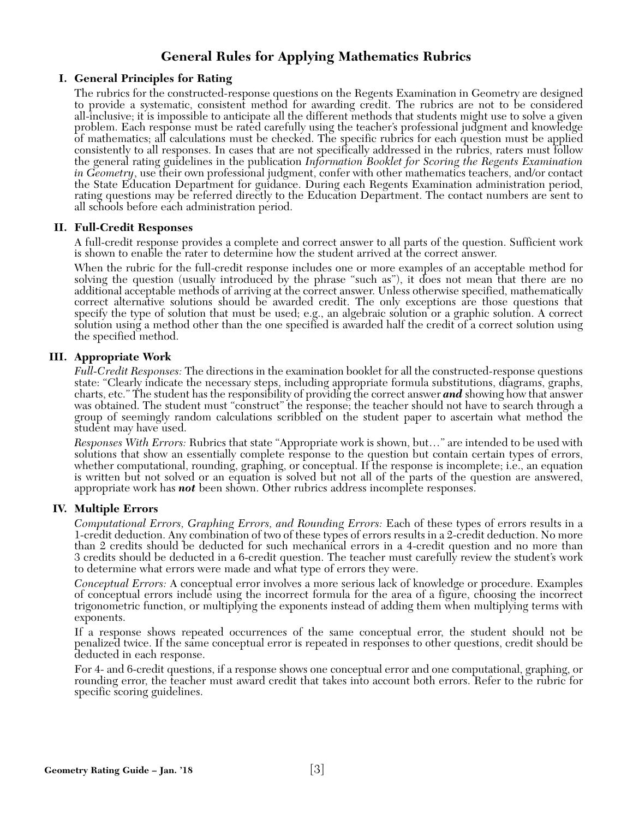## **General Rules for Applying Mathematics Rubrics**

## **I. General Principles for Rating**

The rubrics for the constructed-response questions on the Regents Examination in Geometry are designed to provide a systematic, consistent method for awarding credit. The rubrics are not to be considered all-inclusive; it is impossible to anticipate all the different methods that students might use to solve a given problem. Each response must be rated carefully using the teacher's professional judgment and knowledge of mathematics; all calculations must be checked. The specific rubrics for each question must be applied consistently to all responses. In cases that are not specifically addressed in the rubrics, raters must follow the general rating guidelines in the publication *Information Booklet for Scoring the Regents Examination in Geometry*, use their own professional judgment, confer with other mathematics teachers, and/or contact the State Education Department for guidance. During each Regents Examination administration period, rating questions may be referred directly to the Education Department. The contact numbers are sent to all schools before each administration period.

## **II. Full-Credit Responses**

A full-credit response provides a complete and correct answer to all parts of the question. Sufficient work is shown to enable the rater to determine how the student arrived at the correct answer.

When the rubric for the full-credit response includes one or more examples of an acceptable method for solving the question (usually introduced by the phrase "such as"), it does not mean that there are no additional acceptable methods of arriving at the correct answer. Unless otherwise specified, mathematically correct alternative solutions should be awarded credit. The only exceptions are those questions that specify the type of solution that must be used; e.g., an algebraic solution or a graphic solution. A correct solution using a method other than the one specified is awarded half the credit of a correct solution using the specified method.

## **III. Appropriate Work**

*Full-Credit Responses:* The directions in the examination booklet for all the constructed-response questions state: "Clearly indicate the necessary steps, including appropriate formula substitutions, diagrams, graphs, charts, etc." The student has the responsibility of providing the correct answer *and* showing how that answer was obtained. The student must "construct" the response; the teacher should not have to search through a group of seemingly random calculations scribbled on the student paper to ascertain what method the student may have used.

*Responses With Errors:* Rubrics that state "Appropriate work is shown, but…" are intended to be used with solutions that show an essentially complete response to the question but contain certain types of errors, whether computational, rounding, graphing, or conceptual. If the response is incomplete; i.e., an equation is written but not solved or an equation is solved but not all of the parts of the question are answered, appropriate work has *not* been shown. Other rubrics address incomplete responses.

#### **IV. Multiple Errors**

*Computational Errors, Graphing Errors, and Rounding Errors:* Each of these types of errors results in a 1-credit deduction. Any combination of two of these types of errors results in a 2-credit deduction. No more than 2 credits should be deducted for such mechanical errors in a 4-credit question and no more than 3 credits should be deducted in a 6-credit question. The teacher must carefully review the student's work to determine what errors were made and what type of errors they were.

*Conceptual Errors:* A conceptual error involves a more serious lack of knowledge or procedure. Examples of conceptual errors include using the incorrect formula for the area of a figure, choosing the incorrect trigonometric function, or multiplying the exponents instead of adding them when multiplying terms with exponents.

If a response shows repeated occurrences of the same conceptual error, the student should not be penalized twice. If the same conceptual error is repeated in responses to other questions, credit should be deducted in each response.

For 4- and 6-credit questions, if a response shows one conceptual error and one computational, graphing, or rounding error, the teacher must award credit that takes into account both errors. Refer to the rubric for specific scoring guidelines.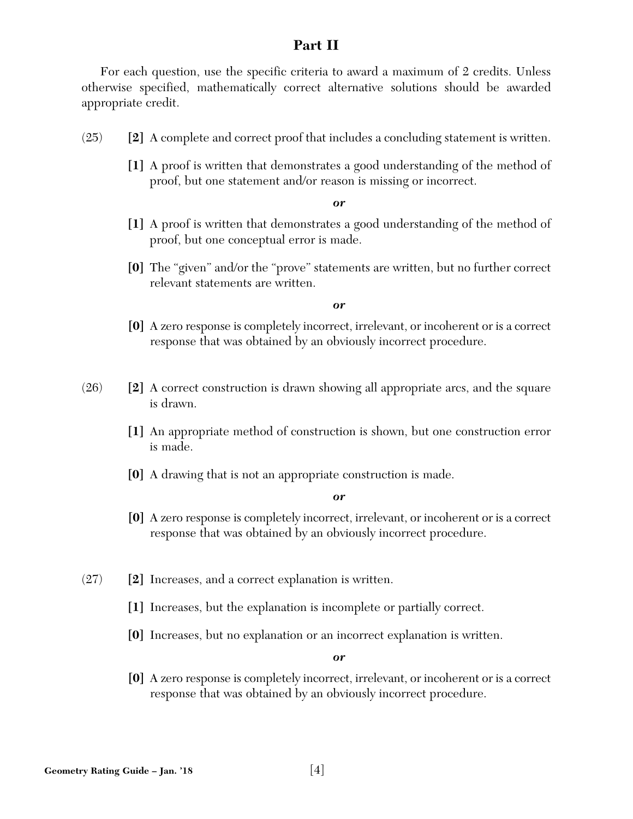## **Part II**

For each question, use the specific criteria to award a maximum of 2 credits. Unless otherwise specified, mathematically correct alternative solutions should be awarded appropriate credit.

- (25) **[2]** A complete and correct proof that includes a concluding statement is written.
	- **[1]** A proof is written that demonstrates a good understanding of the method of proof, but one statement and/or reason is missing or incorrect.

*or*

- **[1]** A proof is written that demonstrates a good understanding of the method of proof, but one conceptual error is made.
- **[0]** The "given" and/or the "prove" statements are written, but no further correct relevant statements are written.

*or*

- **[0]** A zero response is completely incorrect, irrelevant, or incoherent or is a correct response that was obtained by an obviously incorrect procedure.
- (26) **[2]** A correct construction is drawn showing all appropriate arcs, and the square is drawn.
	- **[1]** An appropriate method of construction is shown, but one construction error is made.
	- **[0]** A drawing that is not an appropriate construction is made.

*or*

- **[0]** A zero response is completely incorrect, irrelevant, or incoherent or is a correct response that was obtained by an obviously incorrect procedure.
- (27) **[2]** Increases, and a correct explanation is written.
	- **[1]** Increases, but the explanation is incomplete or partially correct.
	- **[0]** Increases, but no explanation or an incorrect explanation is written.

*or*

**[0]** A zero response is completely incorrect, irrelevant, or incoherent or is a correct response that was obtained by an obviously incorrect procedure.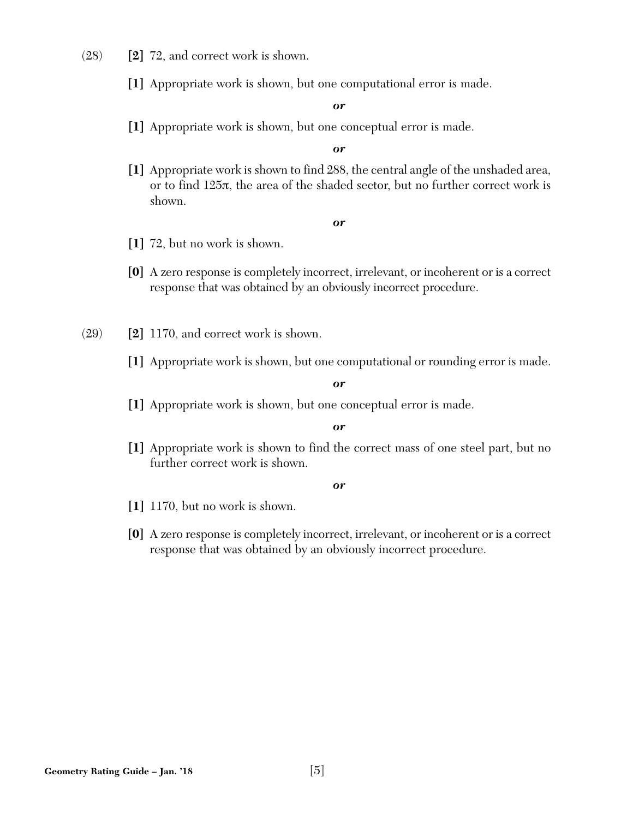- (28) **[2]** 72, and correct work is shown.
	- **[1]** Appropriate work is shown, but one computational error is made.

**[1]** Appropriate work is shown, but one conceptual error is made.

*or*

**[1]** Appropriate work is shown to find 288, the central angle of the unshaded area, or to find 125π, the area of the shaded sector, but no further correct work is shown.

#### *or*

- **[1]** 72, but no work is shown.
- **[0]** A zero response is completely incorrect, irrelevant, or incoherent or is a correct response that was obtained by an obviously incorrect procedure.
- (29) **[2]** 1170, and correct work is shown.
	- **[1]** Appropriate work is shown, but one computational or rounding error is made.

*or*

**[1]** Appropriate work is shown, but one conceptual error is made.

#### *or*

**[1]** Appropriate work is shown to find the correct mass of one steel part, but no further correct work is shown.

- **[1]** 1170, but no work is shown.
- **[0]** A zero response is completely incorrect, irrelevant, or incoherent or is a correct response that was obtained by an obviously incorrect procedure.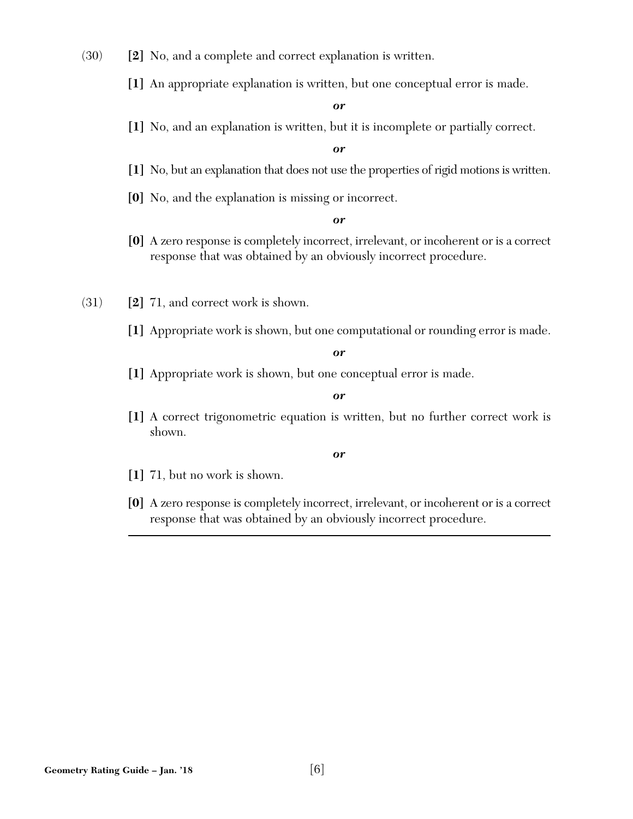- (30) **[2]** No, and a complete and correct explanation is written.
	- **[1]** An appropriate explanation is written, but one conceptual error is made.

**[1]** No, and an explanation is written, but it is incomplete or partially correct.

*or*

- **[1]** No, but an explanation that does not use the properties of rigid motions is written.
- **[0]** No, and the explanation is missing or incorrect.

*or*

- **[0]** A zero response is completely incorrect, irrelevant, or incoherent or is a correct response that was obtained by an obviously incorrect procedure.
- (31) **[2]** 71, and correct work is shown.
	- **[1]** Appropriate work is shown, but one computational or rounding error is made.

*or*

**[1]** Appropriate work is shown, but one conceptual error is made.

*or*

**[1]** A correct trigonometric equation is written, but no further correct work is shown.

- **[1]** 71, but no work is shown.
- **[0]** A zero response is completely incorrect, irrelevant, or incoherent or is a correct response that was obtained by an obviously incorrect procedure.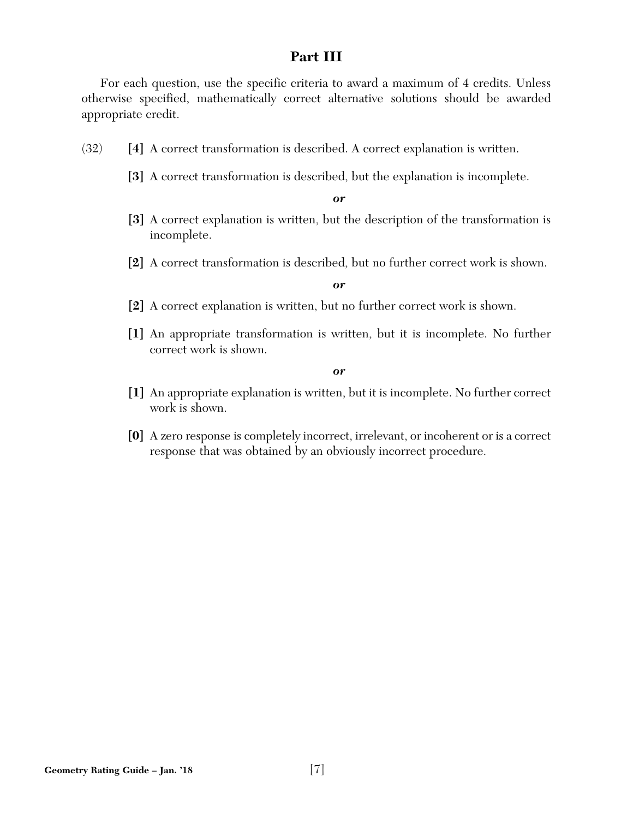## **Part III**

For each question, use the specific criteria to award a maximum of 4 credits. Unless otherwise specified, mathematically correct alternative solutions should be awarded appropriate credit.

- (32) **[4]** A correct transformation is described. A correct explanation is written.
	- **[3]** A correct transformation is described, but the explanation is incomplete.

*or*

- **[3]** A correct explanation is written, but the description of the transformation is incomplete.
- **[2]** A correct transformation is described, but no further correct work is shown.

#### *or*

- **[2]** A correct explanation is written, but no further correct work is shown.
- **[1]** An appropriate transformation is written, but it is incomplete. No further correct work is shown.

- **[1]** An appropriate explanation is written, but it is incomplete. No further correct work is shown.
- **[0]** A zero response is completely incorrect, irrelevant, or incoherent or is a correct response that was obtained by an obviously incorrect procedure.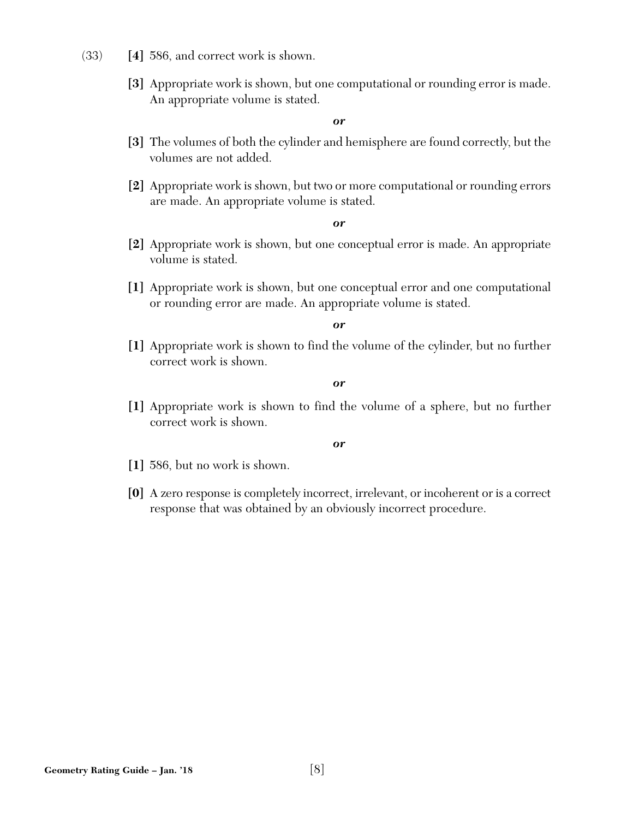- (33) **[4]** 586, and correct work is shown.
	- **[3]** Appropriate work is shown, but one computational or rounding error is made. An appropriate volume is stated.

- **[3]** The volumes of both the cylinder and hemisphere are found correctly, but the volumes are not added.
- **[2]** Appropriate work is shown, but two or more computational or rounding errors are made. An appropriate volume is stated.

*or*

- **[2]** Appropriate work is shown, but one conceptual error is made. An appropriate volume is stated.
- **[1]** Appropriate work is shown, but one conceptual error and one computational or rounding error are made. An appropriate volume is stated.

*or*

**[1]** Appropriate work is shown to find the volume of the cylinder, but no further correct work is shown.

*or*

**[1]** Appropriate work is shown to find the volume of a sphere, but no further correct work is shown.

- **[1]** 586, but no work is shown.
- **[0]** A zero response is completely incorrect, irrelevant, or incoherent or is a correct response that was obtained by an obviously incorrect procedure.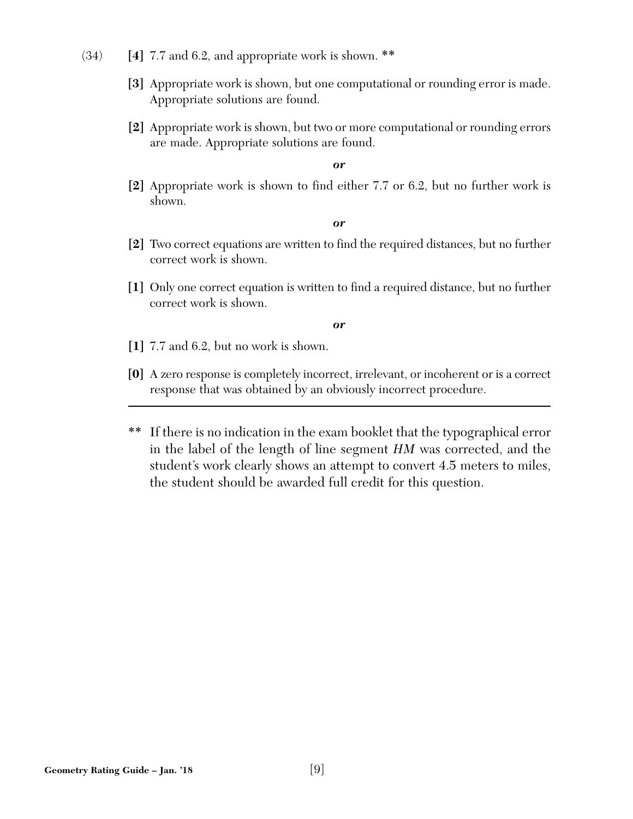- (34) **[4]** 7.7 and 6.2, and appropriate work is shown. \*\*
	- **[3]** Appropriate work is shown, but one computational or rounding error is made. Appropriate solutions are found.
	- **[2]** Appropriate work is shown, but two or more computational or rounding errors are made. Appropriate solutions are found.

**[2]** Appropriate work is shown to find either 7.7 or 6.2, but no further work is shown.

*or*

- **[2]** Two correct equations are written to find the required distances, but no further correct work is shown.
- **[1]** Only one correct equation is written to find a required distance, but no further correct work is shown.

- **[1]** 7.7 and 6.2, but no work is shown.
- **[0]** A zero response is completely incorrect, irrelevant, or incoherent or is a correct response that was obtained by an obviously incorrect procedure.
- \*\* If there is no indication in the exam booklet that the typographical error in the label of the length of line segment *HM* was corrected, and the student's work clearly shows an attempt to convert 4.5 meters to miles, the student should be awarded full credit for this question.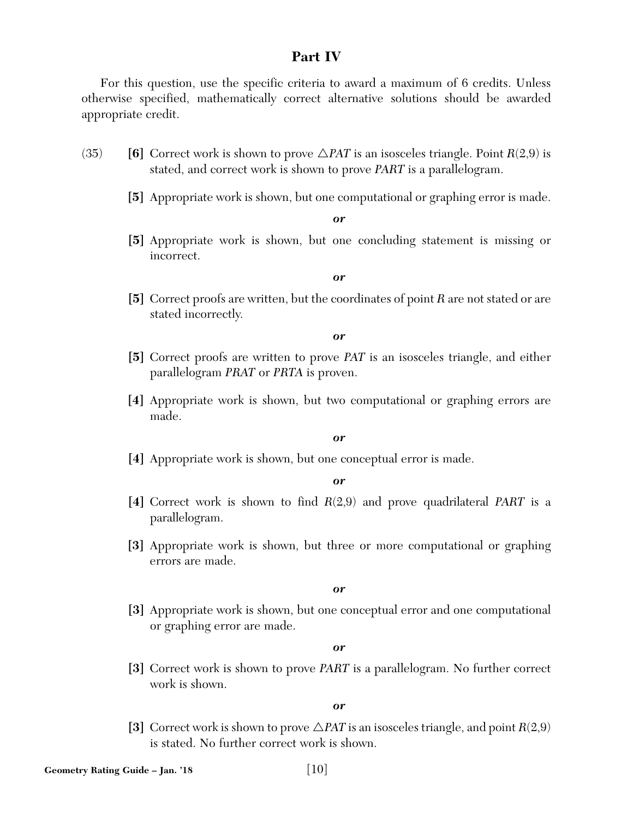## **Part IV**

For this question, use the specific criteria to award a maximum of 6 credits. Unless otherwise specified, mathematically correct alternative solutions should be awarded appropriate credit.

- (35) **[6]** Correct work is shown to prove  $\triangle$ *PAT* is an isosceles triangle. Point *R*(2,9) is stated, and correct work is shown to prove *PART* is a parallelogram.
	- **[5]** Appropriate work is shown, but one computational or graphing error is made.

*or*

**[5]** Appropriate work is shown, but one concluding statement is missing or incorrect.

*or*

**[5]** Correct proofs are written, but the coordinates of point *R* are not stated or are stated incorrectly.

*or*

- **[5]** Correct proofs are written to prove *PAT* is an isosceles triangle, and either parallelogram *PRAT* or *PRTA* is proven.
- **[4]** Appropriate work is shown, but two computational or graphing errors are made.

## *or*

**[4]** Appropriate work is shown, but one conceptual error is made.

*or*

- **[4]** Correct work is shown to find *R*(2,9) and prove quadrilateral *PART* is a parallelogram.
- **[3]** Appropriate work is shown, but three or more computational or graphing errors are made.

*or*

**[3]** Appropriate work is shown, but one conceptual error and one computational or graphing error are made.

*or*

**[3]** Correct work is shown to prove *PART* is a parallelogram. No further correct work is shown.

*or*

[3] Correct work is shown to prove  $\triangle$ *PAT* is an isosceles triangle, and point *R*(2,9) is stated. No further correct work is shown.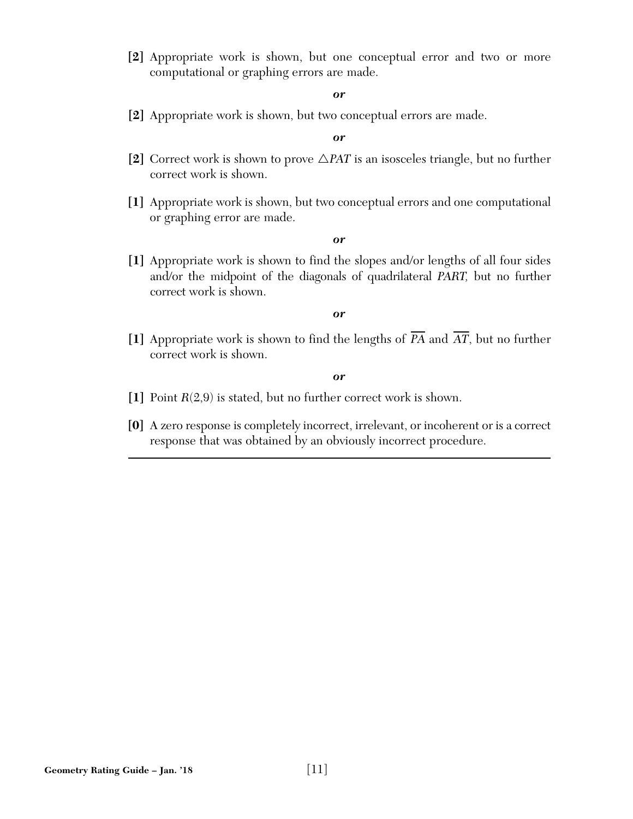**[2]** Appropriate work is shown, but one conceptual error and two or more computational or graphing errors are made.

#### *or*

**[2]** Appropriate work is shown, but two conceptual errors are made.

#### *or*

- [2] Correct work is shown to prove  $\triangle$ *PAT* is an isosceles triangle, but no further correct work is shown.
- **[1]** Appropriate work is shown, but two conceptual errors and one computational or graphing error are made.

#### *or*

**[1]** Appropriate work is shown to find the slopes and/or lengths of all four sides and/or the midpoint of the diagonals of quadrilateral *PART,* but no further correct work is shown.

#### *or*

 $\llbracket 1 \rrbracket$  Appropriate work is shown to find the lengths of *PA* and *AT*, but no further correct work is shown.

- **[1]** Point *R*(2,9) is stated, but no further correct work is shown.
- **[0]** A zero response is completely incorrect, irrelevant, or incoherent or is a correct response that was obtained by an obviously incorrect procedure.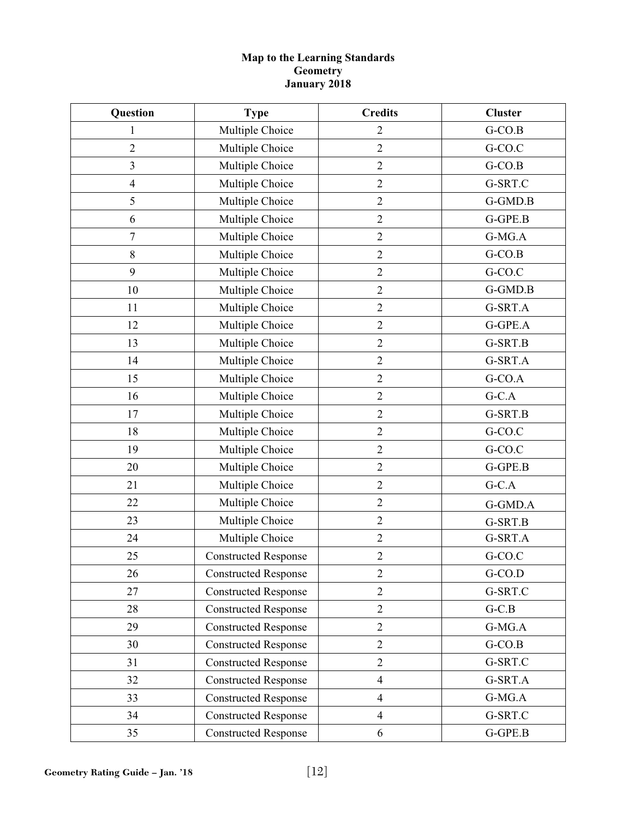## **Map to the Learning Standards Geometry January 2018**

| Question                | <b>Type</b>                 | <b>Credits</b> | <b>Cluster</b> |
|-------------------------|-----------------------------|----------------|----------------|
| 1                       | Multiple Choice             | $\overline{2}$ | $G-CO.B$       |
| $\overline{2}$          | Multiple Choice             | $\overline{2}$ | G-CO.C         |
| $\overline{\mathbf{3}}$ | Multiple Choice             | $\mathbf{2}$   | $G-CO.B$       |
| $\overline{4}$          | Multiple Choice             | $\overline{2}$ | G-SRT.C        |
| 5                       | Multiple Choice             | $\mathbf{2}$   | G-GMD.B        |
| 6                       | Multiple Choice             | $\overline{2}$ | G-GPE.B        |
| $\overline{7}$          | Multiple Choice             | $\mathbf{2}$   | G-MG.A         |
| $\,$ $\,$               | Multiple Choice             | $\overline{2}$ | $G-CO.B$       |
| 9                       | Multiple Choice             | $\overline{2}$ | G-CO.C         |
| 10                      | Multiple Choice             | $\mathfrak{2}$ | G-GMD.B        |
| 11                      | Multiple Choice             | $\overline{2}$ | G-SRT.A        |
| 12                      | Multiple Choice             | $\mathbf{2}$   | G-GPE.A        |
| 13                      | Multiple Choice             | $\overline{2}$ | G-SRT.B        |
| 14                      | Multiple Choice             | $\mathbf{2}$   | G-SRT.A        |
| 15                      | Multiple Choice             | $\overline{2}$ | $G-CO.A$       |
| 16                      | Multiple Choice             | $\overline{2}$ | $G-C.A$        |
| 17                      | Multiple Choice             | $\mathfrak{2}$ | G-SRT.B        |
| 18                      | Multiple Choice             | $\overline{2}$ | G-CO.C         |
| 19                      | Multiple Choice             | $\mathbf{2}$   | G-CO.C         |
| 20                      | Multiple Choice             | $\overline{2}$ | G-GPE.B        |
| 21                      | Multiple Choice             | $\mathfrak{2}$ | $G-C.A$        |
| 22                      | Multiple Choice             | $\overline{2}$ | G-GMD.A        |
| 23                      | Multiple Choice             | $\overline{2}$ | G-SRT.B        |
| 24                      | Multiple Choice             | $\sqrt{2}$     | G-SRT.A        |
| 25                      | <b>Constructed Response</b> | $\sqrt{2}$     | G-CO.C         |
| 26                      | <b>Constructed Response</b> | $\mathfrak{2}$ | $G-CO.D$       |
| 27                      | <b>Constructed Response</b> | $\overline{2}$ | G-SRT.C        |
| 28                      | <b>Constructed Response</b> | $\overline{2}$ | $G-C.B$        |
| 29                      | <b>Constructed Response</b> | $\overline{2}$ | $G-MG.A$       |
| 30                      | <b>Constructed Response</b> | $\overline{2}$ | $G-CO.B$       |
| 31                      | <b>Constructed Response</b> | $\mathbf{2}$   | G-SRT.C        |
| 32                      | <b>Constructed Response</b> | $\overline{4}$ | G-SRT.A        |
| 33                      | <b>Constructed Response</b> | $\overline{4}$ | $G-MG.A$       |
| 34                      | <b>Constructed Response</b> | $\overline{4}$ | G-SRT.C        |
| 35                      | <b>Constructed Response</b> | 6              | G-GPE.B        |